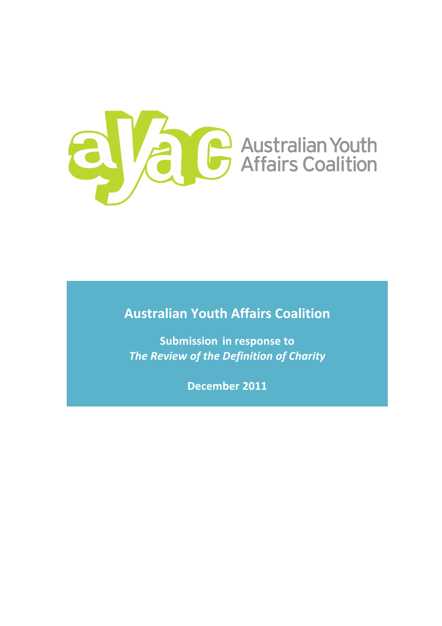

**Australian!Youth!Affairs!Coalition**

**Submission in response to The Review of the Definition of Charity** 

December 2011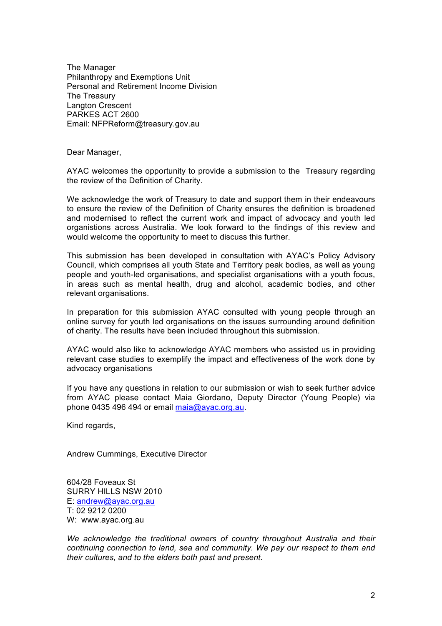The Manager Philanthropy and Exemptions Unit Personal and Retirement Income Division The Treasury Langton Crescent PARKES ACT 2600 Email: NFPReform@treasury.gov.au

Dear Manager,

AYAC welcomes the opportunity to provide a submission to the Treasury regarding the review of the Definition of Charity.

We acknowledge the work of Treasury to date and support them in their endeavours to ensure the review of the Definition of Charity ensures the definition is broadened and modernised to reflect the current work and impact of advocacy and youth led organistions across Australia. We look forward to the findings of this review and would welcome the opportunity to meet to discuss this further.

This submission has been developed in consultation with AYAC's Policy Advisory Council, which comprises all youth State and Territory peak bodies, as well as young people and youth-led organisations, and specialist organisations with a youth focus, in areas such as mental health, drug and alcohol, academic bodies, and other relevant organisations.

In preparation for this submission AYAC consulted with young people through an online survey for youth led organisations on the issues surrounding around definition of charity. The results have been included throughout this submission.

AYAC would also like to acknowledge AYAC members who assisted us in providing relevant case studies to exemplify the impact and effectiveness of the work done by advocacy organisations

If you have any questions in relation to our submission or wish to seek further advice from AYAC please contact Maia Giordano, Deputy Director (Young People) via phone 0435 496 494 or email maia@ayac.org.au.

Kind regards,

Andrew Cummings, Executive Director

604/28 Foveaux St SURRY HILLS NSW 2010 E: andrew@ayac.org.au T: 02 9212 0200 W: www.ayac.org.au

*We acknowledge the traditional owners of country throughout Australia and their continuing connection to land, sea and community. We pay our respect to them and their cultures, and to the elders both past and present.*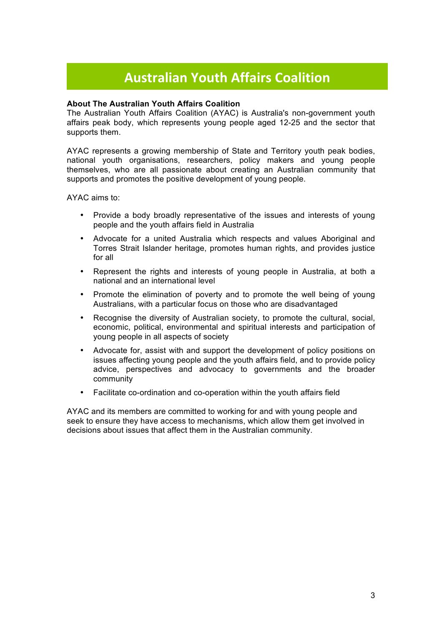## **Australian!Youth!Affairs!Coalition!**

### **About The Australian Youth Affairs Coalition**

The Australian Youth Affairs Coalition (AYAC) is Australia's non-government youth affairs peak body, which represents young people aged 12-25 and the sector that supports them.

AYAC represents a growing membership of State and Territory youth peak bodies, national youth organisations, researchers, policy makers and young people themselves, who are all passionate about creating an Australian community that supports and promotes the positive development of young people.

AYAC aims to:

- Provide a body broadly representative of the issues and interests of young people and the youth affairs field in Australia
- Advocate for a united Australia which respects and values Aboriginal and Torres Strait Islander heritage, promotes human rights, and provides justice for all
- Represent the rights and interests of young people in Australia, at both a national and an international level
- Promote the elimination of poverty and to promote the well being of young Australians, with a particular focus on those who are disadvantaged
- Recognise the diversity of Australian society, to promote the cultural, social, economic, political, environmental and spiritual interests and participation of young people in all aspects of society
- Advocate for, assist with and support the development of policy positions on issues affecting young people and the youth affairs field, and to provide policy advice, perspectives and advocacy to governments and the broader community
- Facilitate co-ordination and co-operation within the youth affairs field

AYAC and its members are committed to working for and with young people and seek to ensure they have access to mechanisms, which allow them get involved in decisions about issues that affect them in the Australian community.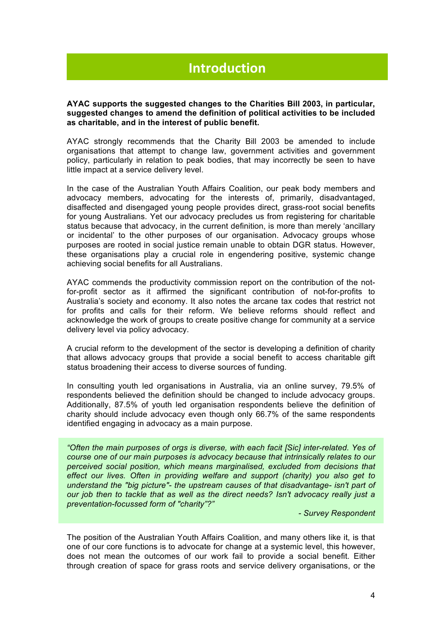# **Introduction**

#### **AYAC supports the suggested changes to the Charities Bill 2003, in particular, suggested changes to amend the definition of political activities to be included as charitable, and in the interest of public benefit.**

AYAC strongly recommends that the Charity Bill 2003 be amended to include organisations that attempt to change law, government activities and government policy, particularly in relation to peak bodies, that may incorrectly be seen to have little impact at a service delivery level.

In the case of the Australian Youth Affairs Coalition, our peak body members and advocacy members, advocating for the interests of, primarily, disadvantaged, disaffected and disengaged young people provides direct, grass-root social benefits for young Australians. Yet our advocacy precludes us from registering for charitable status because that advocacy, in the current definition, is more than merely 'ancillary or incidental' to the other purposes of our organisation. Advocacy groups whose purposes are rooted in social justice remain unable to obtain DGR status. However, these organisations play a crucial role in engendering positive, systemic change achieving social benefits for all Australians.

AYAC commends the productivity commission report on the contribution of the notfor-profit sector as it affirmed the significant contribution of not-for-profits to Australia's society and economy. It also notes the arcane tax codes that restrict not for profits and calls for their reform. We believe reforms should reflect and acknowledge the work of groups to create positive change for community at a service delivery level via policy advocacy.

A crucial reform to the development of the sector is developing a definition of charity that allows advocacy groups that provide a social benefit to access charitable gift status broadening their access to diverse sources of funding.

In consulting youth led organisations in Australia, via an online survey, 79.5% of respondents believed the definition should be changed to include advocacy groups. Additionally, 87.5% of youth led organisation respondents believe the definition of charity should include advocacy even though only 66.7% of the same respondents identified engaging in advocacy as a main purpose.

*"Often the main purposes of orgs is diverse, with each facit [Sic] inter-related. Yes of course one of our main purposes is advocacy because that intrinsically relates to our perceived social position, which means marginalised, excluded from decisions that effect our lives. Often in providing welfare and support (charity) you also get to understand the "big picture"- the upstream causes of that disadvantage- isn't part of our job then to tackle that as well as the direct needs? Isn't advocacy really just a preventation-focussed form of "charity"?"*

*- Survey Respondent*

The position of the Australian Youth Affairs Coalition, and many others like it, is that one of our core functions is to advocate for change at a systemic level, this however, does not mean the outcomes of our work fail to provide a social benefit. Either through creation of space for grass roots and service delivery organisations, or the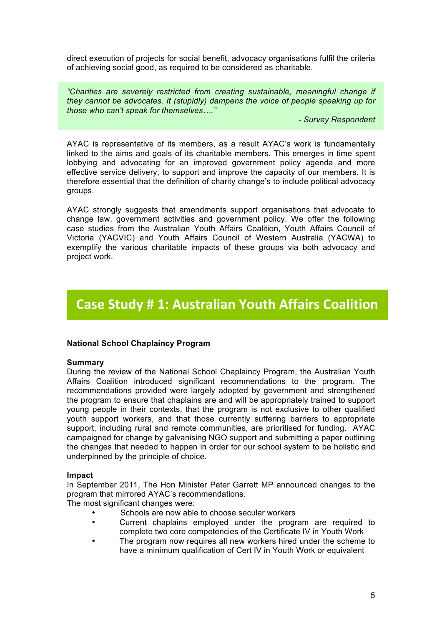direct execution of projects for social benefit, advocacy organisations fulfil the criteria of achieving social good, as required to be considered as charitable.

*"Charities are severely restricted from creating sustainable, meaningful change if they cannot be advocates. It (stupidly) dampens the voice of people speaking up for those who can't speak for themselves…."*

*- Survey Respondent*

AYAC is representative of its members, as a result AYAC's work is fundamentally linked to the aims and goals of its charitable members. This emerges in time spent lobbying and advocating for an improved government policy agenda and more effective service delivery, to support and improve the capacity of our members. It is therefore essential that the definition of charity change's to include political advocacy groups.

AYAC strongly suggests that amendments support organisations that advocate to change law, government activities and government policy. We offer the following case studies from the Australian Youth Affairs Coalition, Youth Affairs Council of Victoria (YACVIC) and Youth Affairs Council of Western Australia (YACWA) to exemplify the various charitable impacts of these groups via both advocacy and project work.

### **Case Study # 1: Australian Youth Affairs Coalition**

### **National School Chaplaincy Program**

#### **Summary**

During the review of the National School Chaplaincy Program, the Australian Youth Affairs Coalition introduced significant recommendations to the program. The recommendations provided were largely adopted by government and strengthened the program to ensure that chaplains are and will be appropriately trained to support young people in their contexts, that the program is not exclusive to other qualified youth support workers, and that those currently suffering barriers to appropriate support, including rural and remote communities, are prioritised for funding. AYAC campaigned for change by galvanising NGO support and submitting a paper outlining the changes that needed to happen in order for our school system to be holistic and underpinned by the principle of choice.

#### **Impact**

In September 2011, The Hon Minister Peter Garrett MP announced changes to the program that mirrored AYAC's recommendations.

The most significant changes were:

- Schools are now able to choose secular workers
- Current chaplains employed under the program are required to complete two core competencies of the Certificate IV in Youth Work
- The program now requires all new workers hired under the scheme to have a minimum qualification of Cert IV in Youth Work or equivalent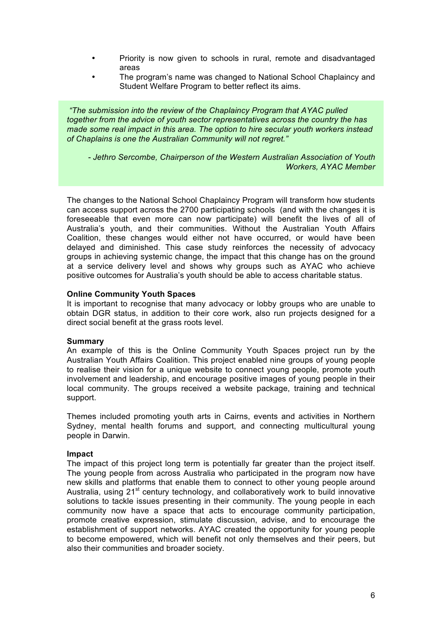- Priority is now given to schools in rural, remote and disadvantaged areas
- The program's name was changed to National School Chaplaincy and Student Welfare Program to better reflect its aims.

*"The submission into the review of the Chaplaincy Program that AYAC pulled together from the advice of youth sector representatives across the country the has made some real impact in this area. The option to hire secular youth workers instead of Chaplains is one the Australian Community will not regret."* 

*- Jethro Sercombe, Chairperson of the Western Australian Association of Youth Workers, AYAC Member*

The changes to the National School Chaplaincy Program will transform how students can access support across the 2700 participating schools (and with the changes it is foreseeable that even more can now participate) will benefit the lives of all of Australia's youth, and their communities. Without the Australian Youth Affairs Coalition, these changes would either not have occurred, or would have been delayed and diminished. This case study reinforces the necessity of advocacy groups in achieving systemic change, the impact that this change has on the ground at a service delivery level and shows why groups such as AYAC who achieve positive outcomes for Australia's youth should be able to access charitable status.

#### **Online Community Youth Spaces**

It is important to recognise that many advocacy or lobby groups who are unable to obtain DGR status, in addition to their core work, also run projects designed for a direct social benefit at the grass roots level.

#### **Summary**

An example of this is the Online Community Youth Spaces project run by the Australian Youth Affairs Coalition. This project enabled nine groups of young people to realise their vision for a unique website to connect young people, promote youth involvement and leadership, and encourage positive images of young people in their local community. The groups received a website package, training and technical support.

Themes included promoting youth arts in Cairns, events and activities in Northern Sydney, mental health forums and support, and connecting multicultural young people in Darwin.

#### **Impact**

The impact of this project long term is potentially far greater than the project itself. The young people from across Australia who participated in the program now have new skills and platforms that enable them to connect to other young people around Australia, using  $21<sup>st</sup>$  century technology, and collaboratively work to build innovative solutions to tackle issues presenting in their community. The young people in each community now have a space that acts to encourage community participation, promote creative expression, stimulate discussion, advise, and to encourage the establishment of support networks. AYAC created the opportunity for young people to become empowered, which will benefit not only themselves and their peers, but also their communities and broader society.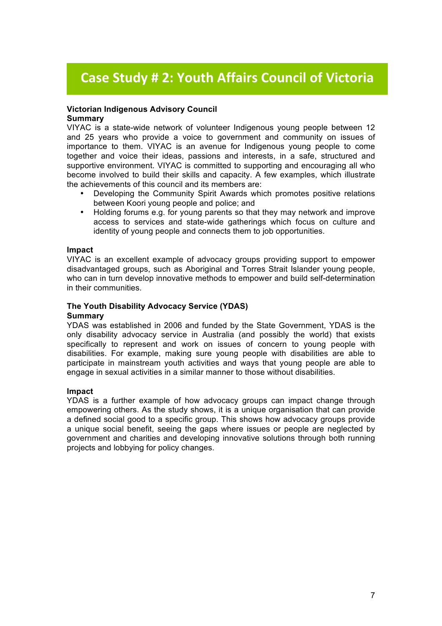# **Case Study # 2: Youth Affairs Council of Victoria**

#### **Victorian Indigenous Advisory Council Summary**

VIYAC is a state-wide network of volunteer Indigenous young people between 12 and 25 years who provide a voice to government and community on issues of importance to them. VIYAC is an avenue for Indigenous young people to come together and voice their ideas, passions and interests, in a safe, structured and supportive environment. VIYAC is committed to supporting and encouraging all who become involved to build their skills and capacity. A few examples, which illustrate the achievements of this council and its members are:

- Developing the Community Spirit Awards which promotes positive relations between Koori young people and police; and
- Holding forums e.g. for young parents so that they may network and improve access to services and state-wide gatherings which focus on culture and identity of young people and connects them to job opportunities.

#### **Impact**

VIYAC is an excellent example of advocacy groups providing support to empower disadvantaged groups, such as Aboriginal and Torres Strait Islander young people, who can in turn develop innovative methods to empower and build self-determination in their communities.

### **The Youth Disability Advocacy Service (YDAS)**

### **Summary**

YDAS was established in 2006 and funded by the State Government, YDAS is the only disability advocacy service in Australia (and possibly the world) that exists specifically to represent and work on issues of concern to young people with disabilities. For example, making sure young people with disabilities are able to participate in mainstream youth activities and ways that young people are able to engage in sexual activities in a similar manner to those without disabilities.

#### **Impact**

YDAS is a further example of how advocacy groups can impact change through empowering others. As the study shows, it is a unique organisation that can provide a defined social good to a specific group. This shows how advocacy groups provide a unique social benefit, seeing the gaps where issues or people are neglected by government and charities and developing innovative solutions through both running projects and lobbying for policy changes.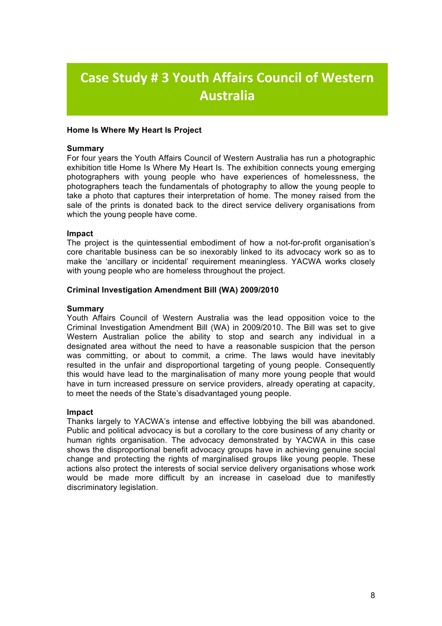# **Case Study # 3 Youth Affairs Council of Western Australia**

#### **Home Is Where My Heart Is Project**

#### **Summary**

For four years the Youth Affairs Council of Western Australia has run a photographic exhibition title Home Is Where My Heart Is. The exhibition connects young emerging photographers with young people who have experiences of homelessness, the photographers teach the fundamentals of photography to allow the young people to take a photo that captures their interpretation of home. The money raised from the sale of the prints is donated back to the direct service delivery organisations from which the young people have come.

#### **Impact**

The project is the quintessential embodiment of how a not-for-profit organisation's core charitable business can be so inexorably linked to its advocacy work so as to make the 'ancillary or incidental' requirement meaningless. YACWA works closely with young people who are homeless throughout the project.

#### **Criminal Investigation Amendment Bill (WA) 2009/2010**

#### **Summary**

Youth Affairs Council of Western Australia was the lead opposition voice to the Criminal Investigation Amendment Bill (WA) in 2009/2010. The Bill was set to give Western Australian police the ability to stop and search any individual in a designated area without the need to have a reasonable suspicion that the person was committing, or about to commit, a crime. The laws would have inevitably resulted in the unfair and disproportional targeting of young people. Consequently this would have lead to the marginalisation of many more young people that would have in turn increased pressure on service providers, already operating at capacity, to meet the needs of the State's disadvantaged young people.

#### **Impact**

Thanks largely to YACWA's intense and effective lobbying the bill was abandoned. Public and political advocacy is but a corollary to the core business of any charity or human rights organisation. The advocacy demonstrated by YACWA in this case shows the disproportional benefit advocacy groups have in achieving genuine social change and protecting the rights of marginalised groups like young people. These actions also protect the interests of social service delivery organisations whose work would be made more difficult by an increase in caseload due to manifestly discriminatory legislation.